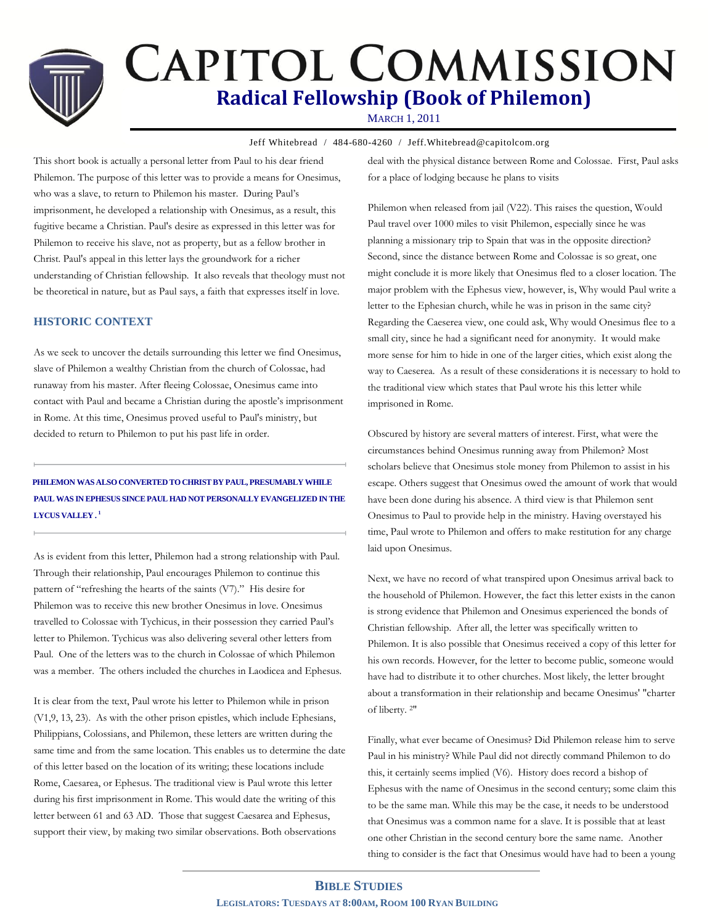# **CAPITOL COMMISSION Radical Fellowship (Book of Philemon)**

MARCH 1, 2011

Jeff Whitebread / 484-680-4260 / Jeff.Whitebread@capitolcom.org

This short book is actually a personal letter from Paul to his dear friend Philemon. The purpose of this letter was to provide a means for Onesimus, who was a slave, to return to Philemon his master. During Paul's imprisonment, he developed a relationship with Onesimus, as a result, this fugitive became a Christian. Paul's desire as expressed in this letter was for Philemon to receive his slave, not as property, but as a fellow brother in Christ. Paul's appeal in this letter lays the groundwork for a richer understanding of Christian fellowship. It also reveals that theology must not be theoretical in nature, but as Paul says, a faith that expresses itself in love.

### **HISTORIC CONTEXT**

As we seek to uncover the details surrounding this letter we find Onesimus, slave of Philemon a wealthy Christian from the church of Colossae, had runaway from his master. After fleeing Colossae, Onesimus came into contact with Paul and became a Christian during the apostle's imprisonment in Rome. At this time, Onesimus proved useful to Paul's ministry, but decided to return to Philemon to put his past life in order.

## **PHILEMON WAS ALSO CONVERTED TO CHRIST BY PAUL, PRESUMABLY WHILE PAUL WAS IN EPHESUS SINCE PAUL HAD NOT PERSONALLY EVANGELIZED IN THE LYCUS VALLEY . <sup>1</sup>**

As is evident from this letter, Philemon had a strong relationship with Paul. Through their relationship, Paul encourages Philemon to continue this pattern of "refreshing the hearts of the saints (V7)." His desire for Philemon was to receive this new brother Onesimus in love. Onesimus travelled to Colossae with Tychicus, in their possession they carried Paul's letter to Philemon. Tychicus was also delivering several other letters from Paul. One of the letters was to the church in Colossae of which Philemon was a member. The others included the churches in Laodicea and Ephesus.

It is clear from the text, Paul wrote his letter to Philemon while in prison (V1,9, 13, 23). As with the other prison epistles, which include Ephesians, Philippians, Colossians, and Philemon, these letters are written during the same time and from the same location. This enables us to determine the date of this letter based on the location of its writing; these locations include Rome, Caesarea, or Ephesus. The traditional view is Paul wrote this letter during his first imprisonment in Rome. This would date the writing of this letter between 61 and 63 AD. Those that suggest Caesarea and Ephesus, support their view, by making two similar observations. Both observations

deal with the physical distance between Rome and Colossae. First, Paul asks for a place of lodging because he plans to visits

Philemon when released from jail (V22). This raises the question, Would Paul travel over 1000 miles to visit Philemon, especially since he was planning a missionary trip to Spain that was in the opposite direction? Second, since the distance between Rome and Colossae is so great, one might conclude it is more likely that Onesimus fled to a closer location. The major problem with the Ephesus view, however, is, Why would Paul write a letter to the Ephesian church, while he was in prison in the same city? Regarding the Caeserea view, one could ask, Why would Onesimus flee to a small city, since he had a significant need for anonymity. It would make more sense for him to hide in one of the larger cities, which exist along the way to Caeserea. As a result of these considerations it is necessary to hold to the traditional view which states that Paul wrote his this letter while imprisoned in Rome.

Obscured by history are several matters of interest. First, what were the circumstances behind Onesimus running away from Philemon? Most scholars believe that Onesimus stole money from Philemon to assist in his escape. Others suggest that Onesimus owed the amount of work that would have been done during his absence. A third view is that Philemon sent Onesimus to Paul to provide help in the ministry. Having overstayed his time, Paul wrote to Philemon and offers to make restitution for any charge laid upon Onesimus.

Next, we have no record of what transpired upon Onesimus arrival back to the household of Philemon. However, the fact this letter exists in the canon is strong evidence that Philemon and Onesimus experienced the bonds of Christian fellowship. After all, the letter was specifically written to Philemon. It is also possible that Onesimus received a copy of this letter for his own records. However, for the letter to become public, someone would have had to distribute it to other churches. Most likely, the letter brought about a transformation in their relationship and became Onesimus' "charter of liberty. 2"

Finally, what ever became of Onesimus? Did Philemon release him to serve Paul in his ministry? While Paul did not directly command Philemon to do this, it certainly seems implied (V6). History does record a bishop of Ephesus with the name of Onesimus in the second century; some claim this to be the same man. While this may be the case, it needs to be understood that Onesimus was a common name for a slave. It is possible that at least one other Christian in the second century bore the same name. Another thing to consider is the fact that Onesimus would have had to been a young